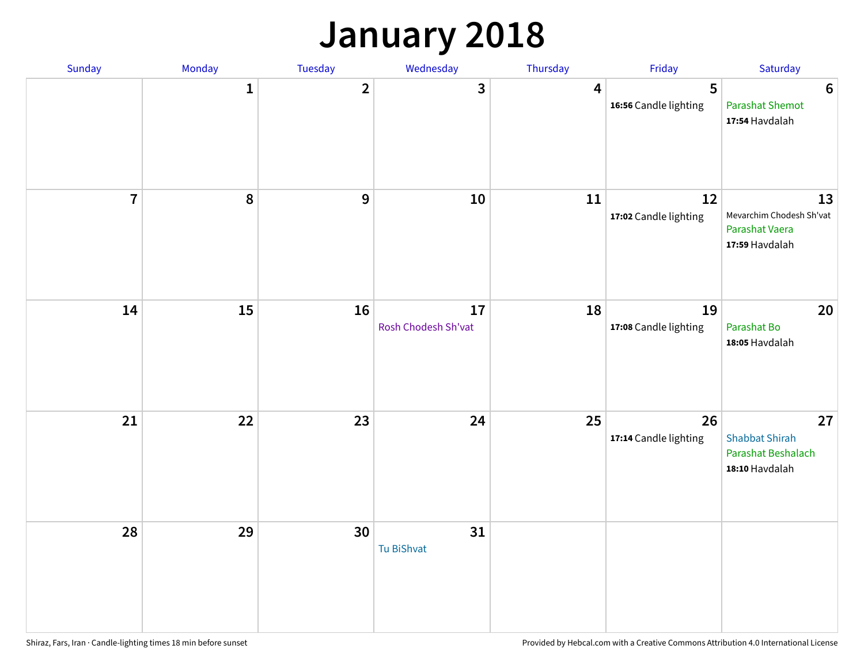## **January 2018**

| Sunday         | Monday       | Tuesday        | Wednesday                 | Thursday                | Friday                      | Saturday                                                            |
|----------------|--------------|----------------|---------------------------|-------------------------|-----------------------------|---------------------------------------------------------------------|
|                | $\mathbf{1}$ | $\overline{2}$ | 3                         | $\overline{\mathbf{4}}$ | 5<br>16:56 Candle lighting  | $6\phantom{1}6$<br><b>Parashat Shemot</b><br>17:54 Havdalah         |
| $\overline{7}$ | 8            | 9              | 10                        | 11                      | 12<br>17:02 Candle lighting | 13<br>Mevarchim Chodesh Sh'vat<br>Parashat Vaera<br>17:59 Havdalah  |
| 14             | 15           | 16             | 17<br>Rosh Chodesh Sh'vat | 18                      | 19<br>17:08 Candle lighting | 20<br>Parashat Bo<br>18:05 Havdalah                                 |
| 21             | 22           | 23             | 24                        | 25                      | 26<br>17:14 Candle lighting | 27<br><b>Shabbat Shirah</b><br>Parashat Beshalach<br>18:10 Havdalah |
| 28             | 29           | 30             | 31<br>Tu BiShvat          |                         |                             |                                                                     |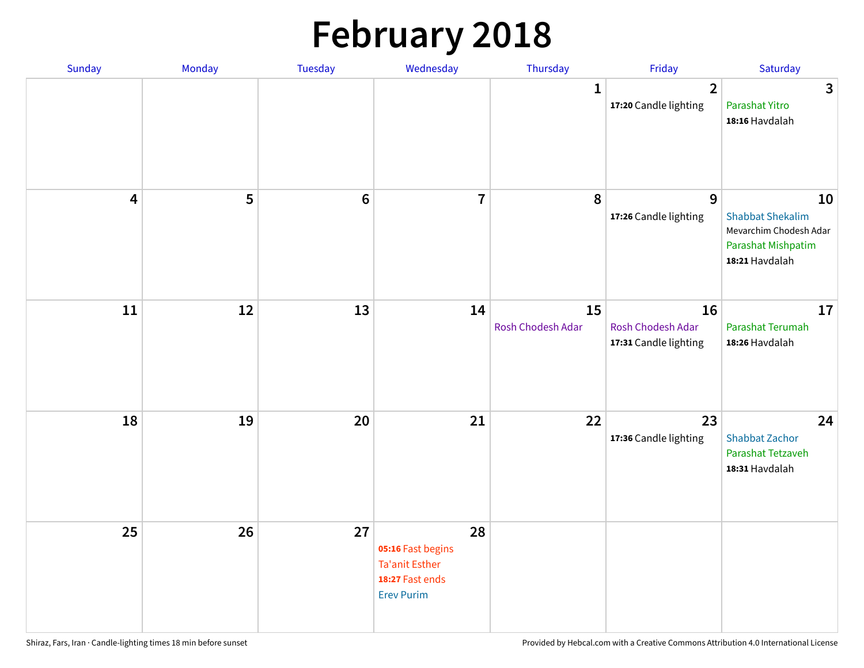## **February 2018**

| Sunday                  | Monday | Tuesday | Wednesday                                                                                | Thursday                | Friday                                           | Saturday                                                                                        |
|-------------------------|--------|---------|------------------------------------------------------------------------------------------|-------------------------|--------------------------------------------------|-------------------------------------------------------------------------------------------------|
|                         |        |         |                                                                                          | $\mathbf{1}$            | $\overline{2}$<br>17:20 Candle lighting          | $\mathbf{3}$<br>Parashat Yitro<br>18:16 Havdalah                                                |
| $\overline{\mathbf{4}}$ | 5      | $6\,$   | $\overline{7}$                                                                           | 8                       | $\overline{9}$<br>17:26 Candle lighting          | 10<br><b>Shabbat Shekalim</b><br>Mevarchim Chodesh Adar<br>Parashat Mishpatim<br>18:21 Havdalah |
| 11                      | 12     | 13      | 14                                                                                       | 15<br>Rosh Chodesh Adar | 16<br>Rosh Chodesh Adar<br>17:31 Candle lighting | 17<br><b>Parashat Terumah</b><br>18:26 Havdalah                                                 |
| 18                      | 19     | 20      | 21                                                                                       | 22                      | 23<br>17:36 Candle lighting                      | 24<br><b>Shabbat Zachor</b><br>Parashat Tetzaveh<br>18:31 Havdalah                              |
| 25                      | 26     | 27      | 28<br>05:16 Fast begins<br><b>Ta'anit Esther</b><br>18:27 Fast ends<br><b>Erev Purim</b> |                         |                                                  |                                                                                                 |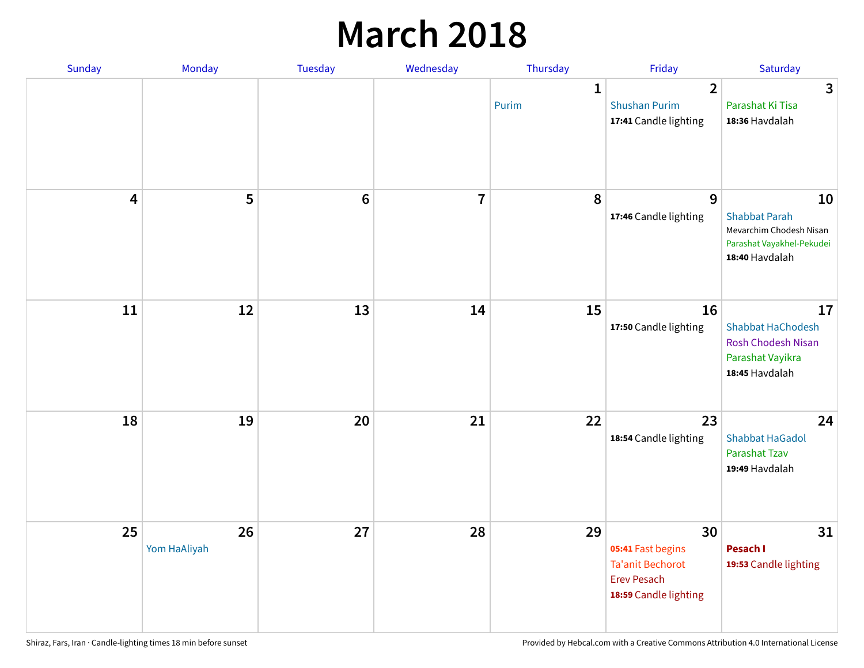### **March 2018**

| Sunday | Monday             | <b>Tuesday</b> | Wednesday      | Thursday              | Friday                                                                                            | Saturday                                                                                             |
|--------|--------------------|----------------|----------------|-----------------------|---------------------------------------------------------------------------------------------------|------------------------------------------------------------------------------------------------------|
|        |                    |                |                | $\mathbf{1}$<br>Purim | $\overline{2}$<br><b>Shushan Purim</b><br>17:41 Candle lighting                                   | 3<br>Parashat Ki Tisa<br>18:36 Havdalah                                                              |
| 4      | 5                  | $\bf 6$        | $\overline{7}$ | 8                     | 9<br>17:46 Candle lighting                                                                        | 10<br><b>Shabbat Parah</b><br>Mevarchim Chodesh Nisan<br>Parashat Vayakhel-Pekudei<br>18:40 Havdalah |
| 11     | 12                 | 13             | 14             | 15                    | 16<br>17:50 Candle lighting                                                                       | 17<br><b>Shabbat HaChodesh</b><br><b>Rosh Chodesh Nisan</b><br>Parashat Vayikra<br>18:45 Havdalah    |
| 18     | 19                 | 20             | 21             | 22                    | 23<br>18:54 Candle lighting                                                                       | 24<br><b>Shabbat HaGadol</b><br>Parashat Tzav<br>19:49 Havdalah                                      |
| 25     | 26<br>Yom HaAliyah | 27             | 28             | 29                    | 30<br>05:41 Fast begins<br><b>Ta'anit Bechorot</b><br><b>Erev Pesach</b><br>18:59 Candle lighting | 31<br>Pesach I<br>19:53 Candle lighting                                                              |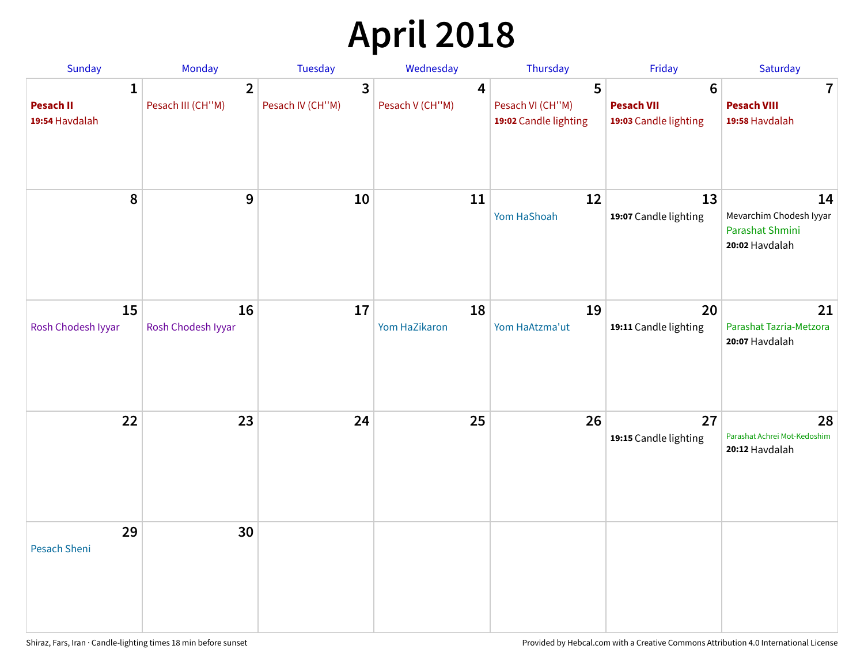# **April 2018**

| Sunday                                  | Monday                              | Tuesday                                     | Wednesday                           | Thursday                                       | Friday                                                        | Saturday                                                           |
|-----------------------------------------|-------------------------------------|---------------------------------------------|-------------------------------------|------------------------------------------------|---------------------------------------------------------------|--------------------------------------------------------------------|
| 1<br><b>Pesach II</b><br>19:54 Havdalah | $\overline{2}$<br>Pesach III (CH"M) | $\overline{\mathbf{3}}$<br>Pesach IV (CH"M) | $\boldsymbol{4}$<br>Pesach V (CH"M) | 5<br>Pesach VI (CH"M)<br>19:02 Candle lighting | $6\phantom{1}6$<br><b>Pesach VII</b><br>19:03 Candle lighting | $\mathbf 7$<br><b>Pesach VIII</b><br>19:58 Havdalah                |
| ${\bf 8}$                               | $9\,$                               | 10                                          | 11                                  | 12<br>Yom HaShoah                              | 13<br>19:07 Candle lighting                                   | 14<br>Mevarchim Chodesh Iyyar<br>Parashat Shmini<br>20:02 Havdalah |
| 15<br>Rosh Chodesh Iyyar                | 16<br>Rosh Chodesh Iyyar            | 17                                          | 18<br>Yom HaZikaron                 | 19<br>Yom HaAtzma'ut                           | 20<br>19:11 Candle lighting                                   | 21<br>Parashat Tazria-Metzora<br>20:07 Havdalah                    |
| 22                                      | 23                                  | 24                                          | 25                                  | 26                                             | 27<br>19:15 Candle lighting                                   | 28<br>Parashat Achrei Mot-Kedoshim<br>20:12 Havdalah               |
| 29<br><b>Pesach Sheni</b>               | 30                                  |                                             |                                     |                                                |                                                               |                                                                    |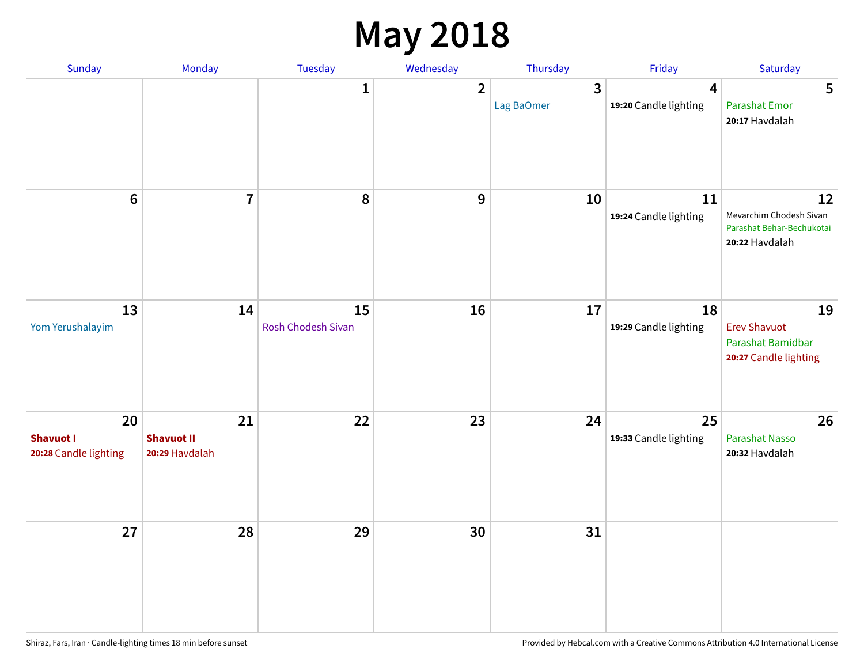## **May 2018**

| Sunday                                          | Monday                                    | Tuesday                         | Wednesday      | Thursday        | Friday                      | Saturday                                                                     |
|-------------------------------------------------|-------------------------------------------|---------------------------------|----------------|-----------------|-----------------------------|------------------------------------------------------------------------------|
|                                                 |                                           | $\mathbf{1}$                    | $\overline{2}$ | 3<br>Lag BaOmer | 4<br>19:20 Candle lighting  | 5<br><b>Parashat Emor</b><br>20:17 Havdalah                                  |
| $6\phantom{a}$                                  | $\overline{7}$                            | 8                               | 9              | 10              | 11<br>19:24 Candle lighting | 12<br>Mevarchim Chodesh Sivan<br>Parashat Behar-Bechukotai<br>20:22 Havdalah |
| 13<br>Yom Yerushalayim                          | 14                                        | 15<br><b>Rosh Chodesh Sivan</b> | 16             | 17              | 18<br>19:29 Candle lighting | 19<br><b>Erev Shavuot</b><br>Parashat Bamidbar<br>20:27 Candle lighting      |
| 20<br><b>Shavuot I</b><br>20:28 Candle lighting | 21<br><b>Shavuot II</b><br>20:29 Havdalah | 22                              | 23             | 24              | 25<br>19:33 Candle lighting | 26<br><b>Parashat Nasso</b><br>20:32 Havdalah                                |
| 27                                              | 28                                        | 29                              | 30             | 31              |                             |                                                                              |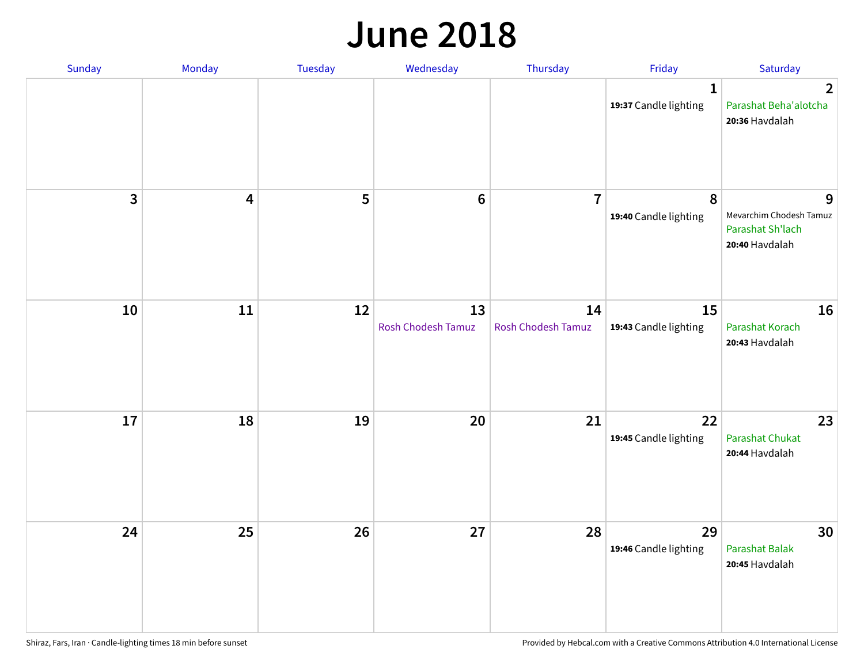#### **June 2018**

| Sunday       | Monday | Tuesday | Wednesday                | Thursday                        | Friday                                | Saturday                                                           |
|--------------|--------|---------|--------------------------|---------------------------------|---------------------------------------|--------------------------------------------------------------------|
|              |        |         |                          |                                 | $\mathbf{1}$<br>19:37 Candle lighting | $\overline{2}$<br>Parashat Beha'alotcha<br>20:36 Havdalah          |
| $\mathbf{3}$ | 4      | 5       | $\bf 6$                  | $\overline{7}$                  | 8<br>19:40 Candle lighting            | 9<br>Mevarchim Chodesh Tamuz<br>Parashat Sh'lach<br>20:40 Havdalah |
| 10           | $11\,$ | 12      | 13<br>Rosh Chodesh Tamuz | 14<br><b>Rosh Chodesh Tamuz</b> | 15<br>19:43 Candle lighting           | 16<br>Parashat Korach<br>20:43 Havdalah                            |
| 17           | 18     | 19      | 20                       | 21                              | 22<br>19:45 Candle lighting           | 23<br><b>Parashat Chukat</b><br>20:44 Havdalah                     |
| 24           | 25     | 26      | 27                       | 28                              | 29<br>19:46 Candle lighting           | 30<br>Parashat Balak<br>20:45 Havdalah                             |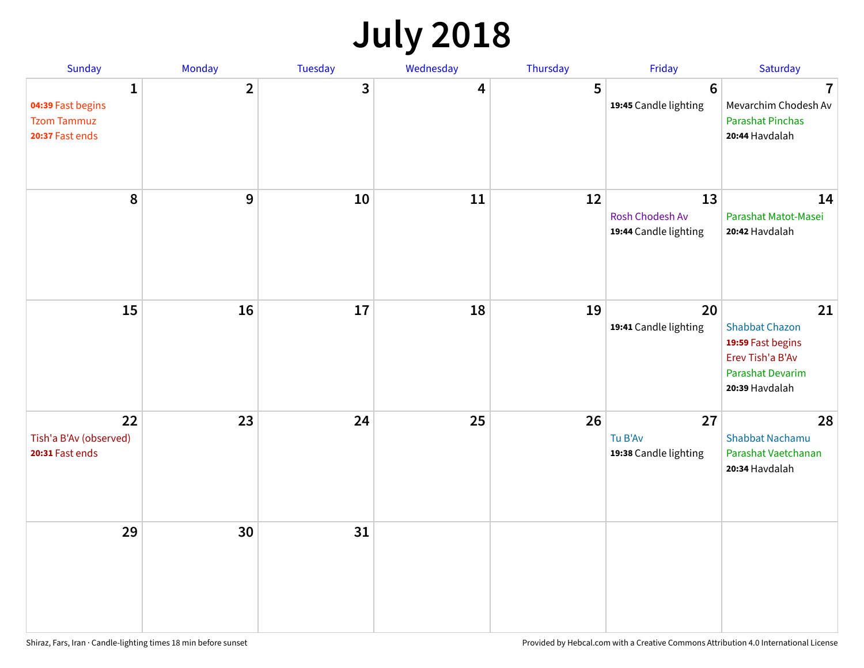## **July 2018**

| Sunday                                                                     | Monday           | Tuesday                 | Wednesday | Thursday | Friday                                         | Saturday                                                                                                          |
|----------------------------------------------------------------------------|------------------|-------------------------|-----------|----------|------------------------------------------------|-------------------------------------------------------------------------------------------------------------------|
| $\mathbf{1}$<br>04:39 Fast begins<br><b>Tzom Tammuz</b><br>20:37 Fast ends | $\overline{2}$   | $\overline{\mathbf{3}}$ | 4         | 5        | $6\phantom{1}$<br>19:45 Candle lighting        | $\overline{7}$<br>Mevarchim Chodesh Av<br><b>Parashat Pinchas</b><br>20:44 Havdalah                               |
| 8                                                                          | $\boldsymbol{9}$ | 10                      | 11        | 12       | 13<br>Rosh Chodesh Av<br>19:44 Candle lighting | 14<br>Parashat Matot-Masei<br>20:42 Havdalah                                                                      |
| 15                                                                         | 16               | 17                      | 18        | 19       | 20<br>19:41 Candle lighting                    | 21<br><b>Shabbat Chazon</b><br>19:59 Fast begins<br>Erev Tish'a B'Av<br><b>Parashat Devarim</b><br>20:39 Havdalah |
| 22<br>Tish'a B'Av (observed)<br>20:31 Fast ends                            | 23               | 24                      | 25        | 26       | 27<br>Tu B'Av<br>19:38 Candle lighting         | 28<br><b>Shabbat Nachamu</b><br>Parashat Vaetchanan<br>20:34 Havdalah                                             |
| 29                                                                         | 30               | 31                      |           |          |                                                |                                                                                                                   |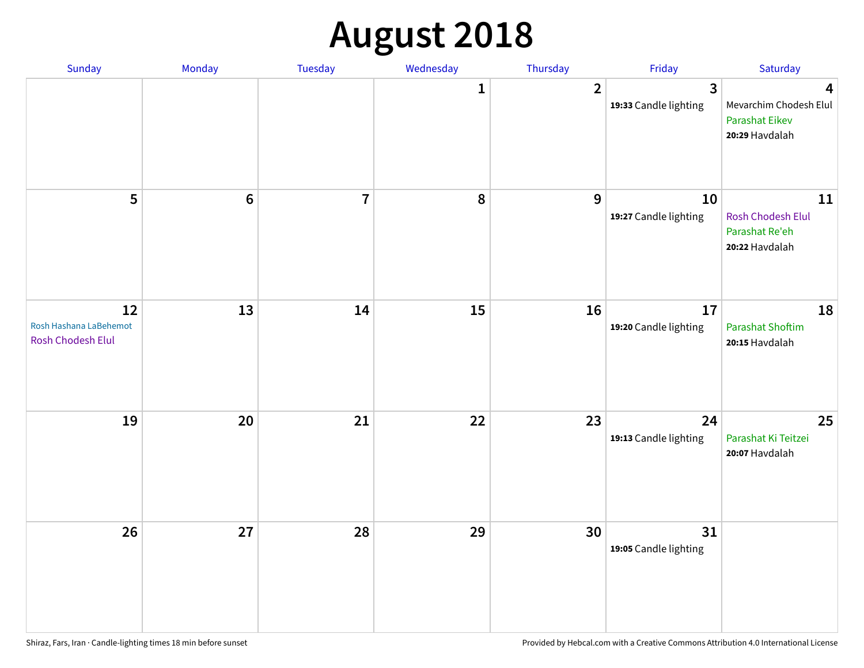## **August 2018**

| Sunday                                            | Monday          | Tuesday        | Wednesday | Thursday       | Friday                      | Saturday                                                               |
|---------------------------------------------------|-----------------|----------------|-----------|----------------|-----------------------------|------------------------------------------------------------------------|
|                                                   |                 |                | 1         | $\overline{2}$ | 3<br>19:33 Candle lighting  | 4<br>Mevarchim Chodesh Elul<br><b>Parashat Eikev</b><br>20:29 Havdalah |
| 5                                                 | $6\phantom{1}6$ | $\overline{7}$ | 8         | $\mathbf{9}$   | 10<br>19:27 Candle lighting | 11<br><b>Rosh Chodesh Elul</b><br>Parashat Re'eh<br>20:22 Havdalah     |
| 12<br>Rosh Hashana LaBehemot<br>Rosh Chodesh Elul | 13              | 14             | 15        | 16             | 17<br>19:20 Candle lighting | 18<br><b>Parashat Shoftim</b><br>20:15 Havdalah                        |
| 19                                                | 20              | 21             | 22        | 23             | 24<br>19:13 Candle lighting | 25<br>Parashat Ki Teitzei<br>20:07 Havdalah                            |
| 26                                                | 27              | 28             | 29        | 30             | 31<br>19:05 Candle lighting |                                                                        |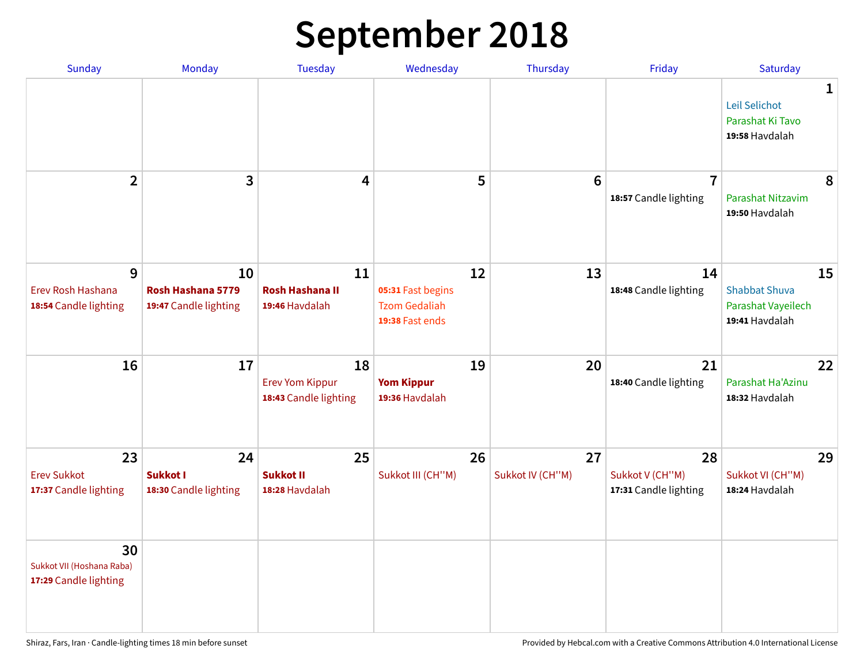## **September 2018**

| <b>Sunday</b>                                            | Monday                                           | <b>Tuesday</b>                                        | Wednesday                                                          | Thursday               | Friday                                         | Saturday                                                           |
|----------------------------------------------------------|--------------------------------------------------|-------------------------------------------------------|--------------------------------------------------------------------|------------------------|------------------------------------------------|--------------------------------------------------------------------|
|                                                          |                                                  |                                                       |                                                                    |                        |                                                | 1<br>Leil Selichot<br>Parashat Ki Tavo<br>19:58 Havdalah           |
| $\overline{2}$                                           | 3                                                | 4                                                     | 5                                                                  | 6                      | $\overline{7}$<br>18:57 Candle lighting        | 8<br><b>Parashat Nitzavim</b><br>19:50 Havdalah                    |
| 9<br>Erev Rosh Hashana<br>18:54 Candle lighting          | 10<br>Rosh Hashana 5779<br>19:47 Candle lighting | 11<br><b>Rosh Hashana II</b><br>19:46 Havdalah        | 12<br>05:31 Fast begins<br><b>Tzom Gedaliah</b><br>19:38 Fast ends | 13                     | 14<br>18:48 Candle lighting                    | 15<br><b>Shabbat Shuva</b><br>Parashat Vayeilech<br>19:41 Havdalah |
| 16                                                       | 17                                               | 18<br><b>Erev Yom Kippur</b><br>18:43 Candle lighting | 19<br><b>Yom Kippur</b><br>19:36 Havdalah                          | 20                     | 21<br>18:40 Candle lighting                    | 22<br>Parashat Ha'Azinu<br>18:32 Havdalah                          |
| 23<br><b>Erev Sukkot</b><br>17:37 Candle lighting        | 24<br>Sukkot I<br>18:30 Candle lighting          | 25<br><b>Sukkot II</b><br>18:28 Havdalah              | 26<br>Sukkot III (CH"M)                                            | 27<br>Sukkot IV (CH"M) | 28<br>Sukkot V (CH"M)<br>17:31 Candle lighting | 29<br>Sukkot VI (CH"M)<br>18:24 Havdalah                           |
| 30<br>Sukkot VII (Hoshana Raba)<br>17:29 Candle lighting |                                                  |                                                       |                                                                    |                        |                                                |                                                                    |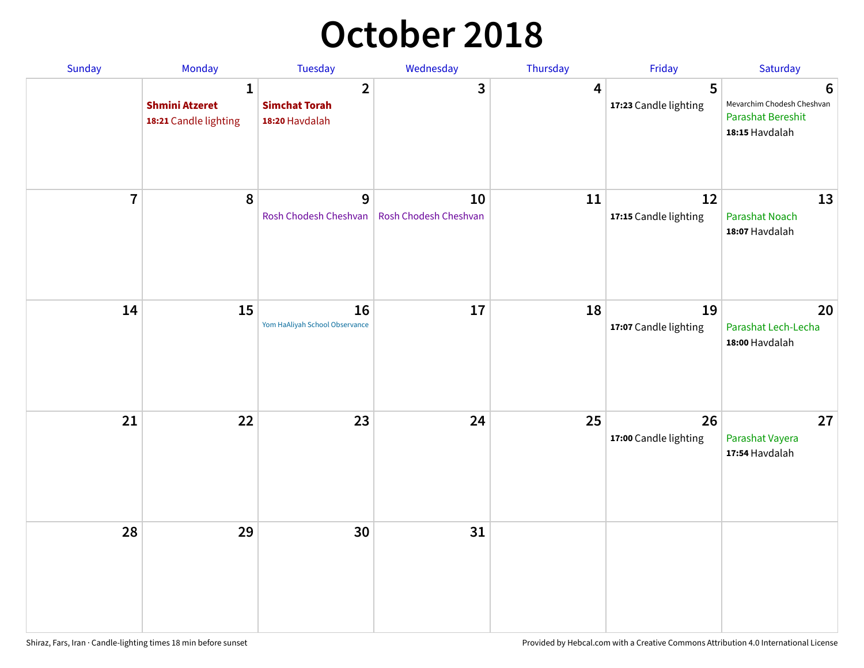## **October 2018**

| Sunday         | Monday                                                         | Tuesday                                                  | Wednesday                   | Thursday | Friday                      | Saturday                                                               |
|----------------|----------------------------------------------------------------|----------------------------------------------------------|-----------------------------|----------|-----------------------------|------------------------------------------------------------------------|
|                | $\mathbf{1}$<br><b>Shmini Atzeret</b><br>18:21 Candle lighting | $\overline{2}$<br><b>Simchat Torah</b><br>18:20 Havdalah | 3                           | 4        | 5<br>17:23 Candle lighting  | 6<br>Mevarchim Chodesh Cheshvan<br>Parashat Bereshit<br>18:15 Havdalah |
| $\overline{7}$ | 8                                                              | $\boldsymbol{9}$<br>Rosh Chodesh Cheshvan                | 10<br>Rosh Chodesh Cheshvan | 11       | 12<br>17:15 Candle lighting | 13<br><b>Parashat Noach</b><br>18:07 Havdalah                          |
| 14             | 15                                                             | 16<br>Yom HaAliyah School Observance                     | 17                          | 18       | 19<br>17:07 Candle lighting | 20<br>Parashat Lech-Lecha<br>18:00 Havdalah                            |
| 21             | 22                                                             | 23                                                       | 24                          | 25       | 26<br>17:00 Candle lighting | 27<br>Parashat Vayera<br>17:54 Havdalah                                |
| 28             | 29                                                             | 30                                                       | 31                          |          |                             |                                                                        |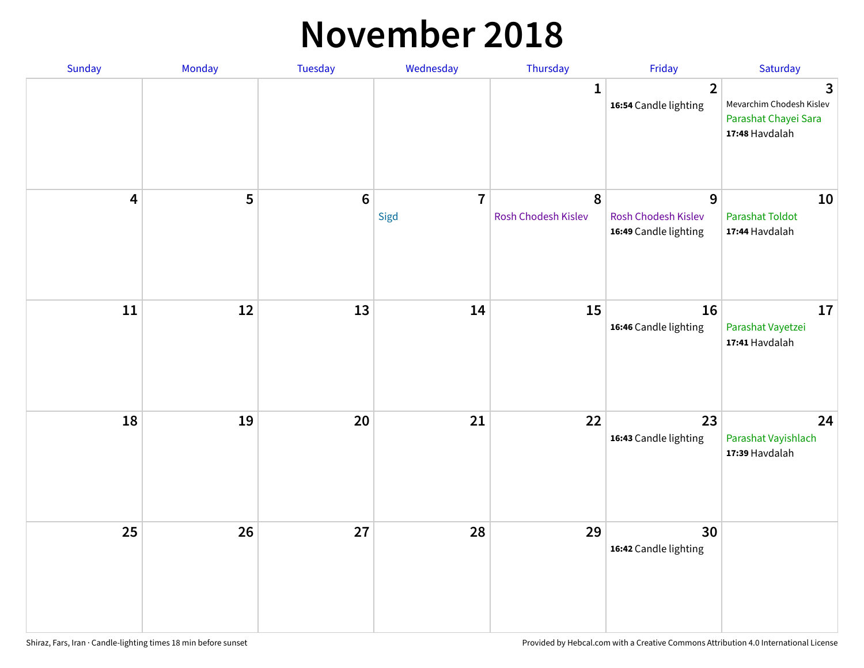#### **November 2018**

| <b>Sunday</b>           | Monday | <b>Tuesday</b>  | Wednesday                       | Thursday                 | Friday                                                                | Saturday                                                                |
|-------------------------|--------|-----------------|---------------------------------|--------------------------|-----------------------------------------------------------------------|-------------------------------------------------------------------------|
|                         |        |                 |                                 | $\mathbf{1}$             | $\overline{2}$<br>16:54 Candle lighting                               | 3<br>Mevarchim Chodesh Kislev<br>Parashat Chayei Sara<br>17:48 Havdalah |
| $\overline{\mathbf{4}}$ | 5      | $6\phantom{1}6$ | $\overline{\mathbf{7}}$<br>Sigd | 8<br>Rosh Chodesh Kislev | $\overline{9}$<br><b>Rosh Chodesh Kislev</b><br>16:49 Candle lighting | 10<br><b>Parashat Toldot</b><br>17:44 Havdalah                          |
| 11                      | 12     | 13              | 14                              | 15                       | 16<br>16:46 Candle lighting                                           | 17<br>Parashat Vayetzei<br>17:41 Havdalah                               |
| 18                      | 19     | 20              | 21                              | 22                       | 23<br>16:43 Candle lighting                                           | 24<br>Parashat Vayishlach<br>17:39 Havdalah                             |
| 25                      | 26     | 27              | 28                              | 29                       | 30<br>16:42 Candle lighting                                           |                                                                         |